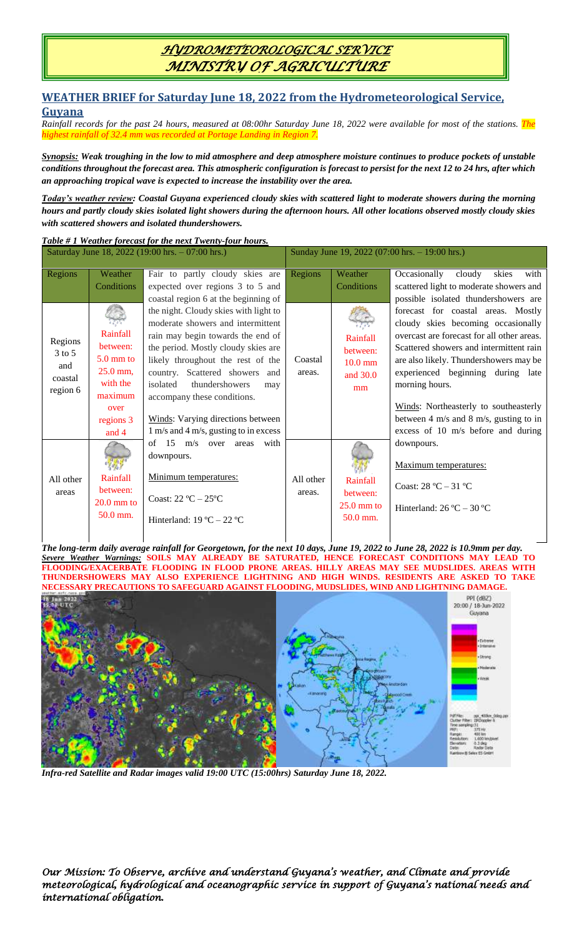# *HYDROMETEOROLOGICAL SERVICE MINISTRY OF AGRICULTURE*

### **WEATHER BRIEF for Saturday June 18, 2022 from the Hydrometeorological Service, Guyana**

*Rainfall records for the past 24 hours, measured at 08:00hr Saturday June 18, 2022 were available for most of the stations. The highest rainfall of 32.4 mm was recorded at Portage Landing in Region 7.*

*Synopsis: Weak troughing in the low to mid atmosphere and deep atmosphere moisture continues to produce pockets of unstable conditions throughout the forecast area. This atmospheric configuration is forecast to persist for the next 12 to 24 hrs, after which an approaching tropical wave is expected to increase the instability over the area.*

*Today's weather review: Coastal Guyana experienced cloudy skies with scattered light to moderate showers during the morning hours and partly cloudy skies isolated light showers during the afternoon hours. All other locations observed mostly cloudy skies with scattered showers and isolated thundershowers.*

### *Table # 1 Weather forecast for the next Twenty-four hours.*

| Saturday June 18, 2022 (19:00 hrs. - 07:00 hrs.)    |                                                          |                                                                            | Sunday June 19, 2022 (07:00 hrs. - 19:00 hrs.) |                                              |                                                                                    |
|-----------------------------------------------------|----------------------------------------------------------|----------------------------------------------------------------------------|------------------------------------------------|----------------------------------------------|------------------------------------------------------------------------------------|
| Regions                                             | Weather<br>Conditions                                    | Fair to partly cloudy skies are<br>expected over regions 3 to 5 and        | Regions                                        | Weather<br>Conditions                        | Occasionally<br>cloudy<br>skies<br>with<br>scattered light to moderate showers and |
|                                                     |                                                          | coastal region 6 at the beginning of                                       |                                                |                                              | possible isolated thundershowers are                                               |
|                                                     |                                                          | the night. Cloudy skies with light to<br>moderate showers and intermittent |                                                |                                              | forecast for coastal areas. Mostly<br>cloudy skies becoming occasionally           |
| Regions<br>$3$ to $5$<br>and<br>coastal<br>region 6 | Rainfall                                                 | rain may begin towards the end of                                          |                                                | Rainfall                                     | overcast are forecast for all other areas.                                         |
|                                                     | between:<br>$5.0 \text{ mm}$ to                          | the period. Mostly cloudy skies are<br>likely throughout the rest of the   | Coastal                                        | between:<br>$10.0$ mm                        | Scattered showers and intermittent rain<br>are also likely. Thundershowers may be  |
|                                                     | $25.0$ mm,                                               | country. Scattered showers and                                             | areas.                                         | and 30.0                                     | experienced beginning during late                                                  |
|                                                     | with the<br>maximum                                      | isolated<br>thundershowers<br>may<br>accompany these conditions.           |                                                | mm                                           | morning hours.                                                                     |
|                                                     | over                                                     |                                                                            |                                                |                                              | Winds: Northeasterly to southeasterly                                              |
|                                                     | regions 3<br>and 4                                       | Winds: Varying directions between<br>1 m/s and 4 m/s, gusting to in excess |                                                |                                              | between 4 m/s and 8 m/s, gusting to in<br>excess of 10 m/s before and during       |
|                                                     |                                                          | of 15 m/s over areas<br>with                                               |                                                |                                              | downpours.                                                                         |
| All other<br>areas                                  | Rainfall<br>between:<br>$20.0 \text{ mm}$ to<br>50.0 mm. | downpours.                                                                 | All other<br>areas.                            | Rainfall<br>between:<br>$25.0 \text{ mm}$ to | Maximum temperatures:                                                              |
|                                                     |                                                          | Minimum temperatures:                                                      |                                                |                                              | Coast: $28 °C - 31 °C$                                                             |
|                                                     |                                                          | Coast: $22 °C - 25 °C$                                                     |                                                |                                              | Hinterland: $26^{\circ}$ C – $30^{\circ}$ C                                        |
|                                                     |                                                          | Hinterland: $19^{\circ}C - 22^{\circ}C$                                    |                                                | 50.0 mm.                                     |                                                                                    |
|                                                     |                                                          |                                                                            |                                                |                                              |                                                                                    |

*The long-term daily average rainfall for Georgetown, for the next 10 days, June 19, 2022 to June 28, 2022 is 10.9mm per day. Severe Weather Warnings:* **SOILS MAY ALREADY BE SATURATED, HENCE FORECAST CONDITIONS MAY LEAD TO FLOODING/EXACERBATE FLOODING IN FLOOD PRONE AREAS. HILLY AREAS MAY SEE MUDSLIDES. AREAS WITH THUNDERSHOWERS MAY ALSO EXPERIENCE LIGHTNING AND HIGH WINDS. RESIDENTS ARE ASKED TO TAKE NECESSARY PRECAUTIONS TO SAFEGUARD AGAINST FLOODING, MUDSLIDES, WIND AND LIGHTNING DAMAGE.**



*Infra-red Satellite and Radar images valid 19:00 UTC (15:00hrs) Saturday June 18, 2022.*

*Our Mission: To Observe, archive and understand Guyana's weather, and Climate and provide meteorological, hydrological and oceanographic service in support of Guyana's national needs and international obligation.*